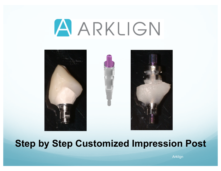



## **Step by Step Customized Impression Post**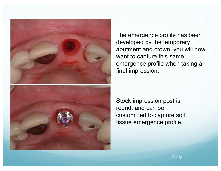

The emergence profile has been developed by the temporary abutment and crown, you will now want to capture this same emergence profile when taking a final impression.

Stock impression post is round, and can be customized to capture soft tissue emergence profile.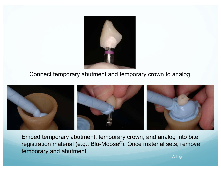

Connect temporary abutment and temporary crown to analog.



Embed temporary abutment, temporary crown, and analog into bite registration material (e.g., Blu-Moose®). Once material sets, remove temporary and abutment.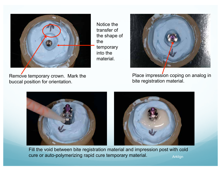

Notice the transfer of the shape of the temporary into the material.



Remove temporary crown. Mark the buccal position for orientation.

Place impression coping on analog in bite registration material.



Fill the void between bite registration material and impression post with cold cure or auto-polymerizing rapid cure temporary material. Arklign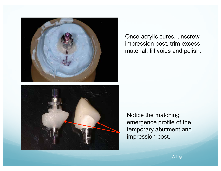

Once acrylic cures, unscrew impression post, trim excess material, fill voids and polish.



Notice the matching emergence profile of the temporary abutment and impression post.